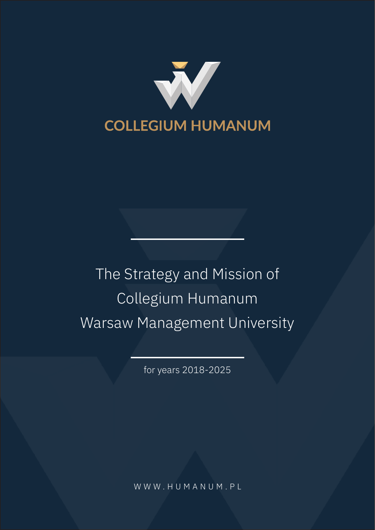

## The Strategy and Mission of Collegium Humanum Warsaw Management University

for years 2018-2025

WWW.HUMANUM.PL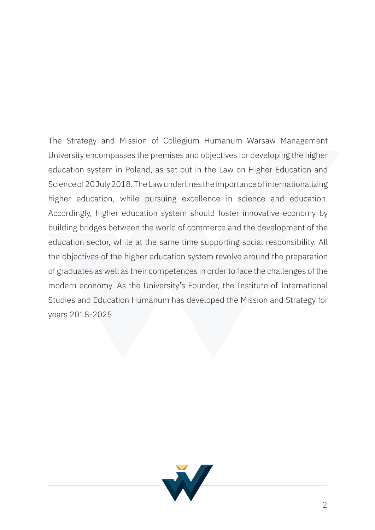The Strategy and Mission of Collegium Humanum Warsaw Management University encompasses the premises and objectives for developing the higher education system in Poland, as set out in the Law on Higher Education and Science of 20 July 2018. The Law underlines the importance of internationalizing higher education, while pursuing excellence in science and education. Accordingly, higher education system should foster innovative economy by building bridges between the world of commerce and the development of the education sector, while at the same time supporting social responsibility. All the objectives of the higher education system revolve around the preparation of graduates as well as their competences in order to face the challenges of the modern economy. As the University's Founder, the Institute of International Studies and Education Humanum has developed the Mission and Strategy for years 2018-2025.

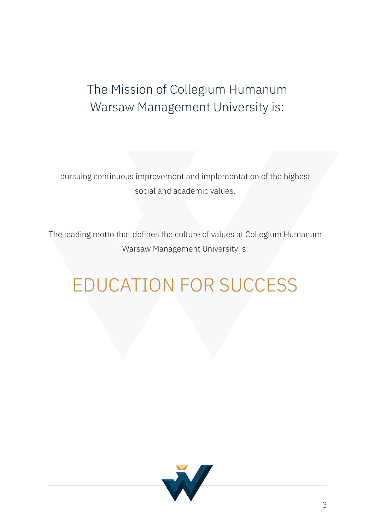#### The Mission of Collegium Humanum Warsaw Management University is:

pursuing continuous improvement and implementation of the highest social and academic values.

The leading motto that defines the culture of values at Collegium Humanum Warsaw Management University is:

## EDUCATION FOR SUCCESS

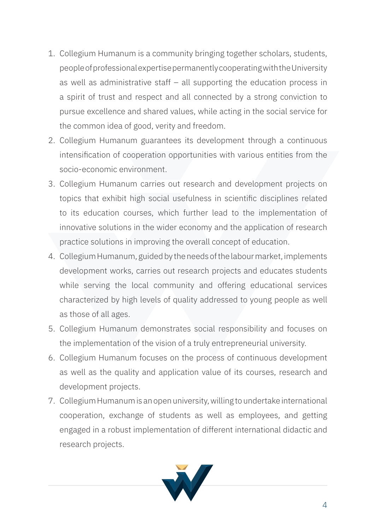- 1. Collegium Humanum is a community bringing together scholars, students, people of professional expertise permanently cooperating with the University as well as administrative staff – all supporting the education process in a spirit of trust and respect and all connected by a strong conviction to pursue excellence and shared values, while acting in the social service for the common idea of good, verity and freedom.
- 2. Collegium Humanum guarantees its development through a continuous intensification of cooperation opportunities with various entities from the socio-economic environment.
- 3. Collegium Humanum carries out research and development projects on topics that exhibit high social usefulness in scientific disciplines related to its education courses, which further lead to the implementation of innovative solutions in the wider economy and the application of research practice solutions in improving the overall concept of education.
- 4. Collegium Humanum, guided by the needs of the labour market, implements development works, carries out research projects and educates students while serving the local community and offering educational services characterized by high levels of quality addressed to young people as well as those of all ages.
- 5. Collegium Humanum demonstrates social responsibility and focuses on the implementation of the vision of a truly entrepreneurial university.
- 6. Collegium Humanum focuses on the process of continuous development as well as the quality and application value of its courses, research and development projects.
- 7. Collegium Humanum is an open university, willing to undertake international cooperation, exchange of students as well as employees, and getting engaged in a robust implementation of different international didactic and research projects.

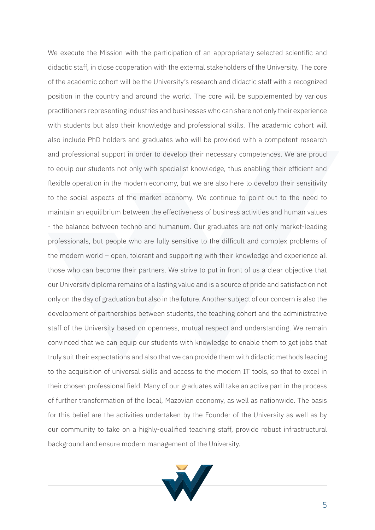We execute the Mission with the participation of an appropriately selected scientific and didactic staff, in close cooperation with the external stakeholders of the University. The core of the academic cohort will be the University's research and didactic staff with a recognized position in the country and around the world. The core will be supplemented by various practitioners representing industries and businesses who can share not only their experience with students but also their knowledge and professional skills. The academic cohort will also include PhD holders and graduates who will be provided with a competent research and professional support in order to develop their necessary competences. We are proud to equip our students not only with specialist knowledge, thus enabling their efficient and flexible operation in the modern economy, but we are also here to develop their sensitivity to the social aspects of the market economy. We continue to point out to the need to maintain an equilibrium between the effectiveness of business activities and human values - the balance between techno and humanum. Our graduates are not only market-leading professionals, but people who are fully sensitive to the difficult and complex problems of the modern world – open, tolerant and supporting with their knowledge and experience all those who can become their partners. We strive to put in front of us a clear objective that our University diploma remains of a lasting value and is a source of pride and satisfaction not only on the day of graduation but also in the future. Another subject of our concern is also the development of partnerships between students, the teaching cohort and the administrative staff of the University based on openness, mutual respect and understanding. We remain convinced that we can equip our students with knowledge to enable them to get jobs that truly suit their expectations and also that we can provide them with didactic methods leading to the acquisition of universal skills and access to the modern IT tools, so that to excel in their chosen professional field. Many of our graduates will take an active part in the process of further transformation of the local, Mazovian economy, as well as nationwide. The basis for this belief are the activities undertaken by the Founder of the University as well as by our community to take on a highly-qualified teaching staff, provide robust infrastructural background and ensure modern management of the University.

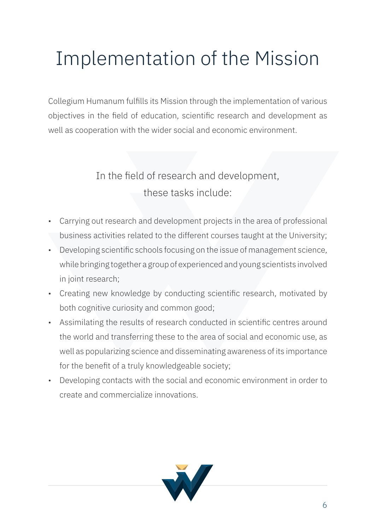# Implementation of the Mission

Collegium Humanum fulfills its Mission through the implementation of various objectives in the field of education, scientific research and development as well as cooperation with the wider social and economic environment.

> In the field of research and development, these tasks include:

- Carrying out research and development projects in the area of professional business activities related to the different courses taught at the University;
- Developing scientific schools focusing on the issue of management science, while bringing together a group of experienced and young scientists involved in joint research;
- Creating new knowledge by conducting scientific research, motivated by both cognitive curiosity and common good;
- Assimilating the results of research conducted in scientific centres around the world and transferring these to the area of social and economic use, as well as popularizing science and disseminating awareness of its importance for the benefit of a truly knowledgeable society;
- Developing contacts with the social and economic environment in order to create and commercialize innovations.

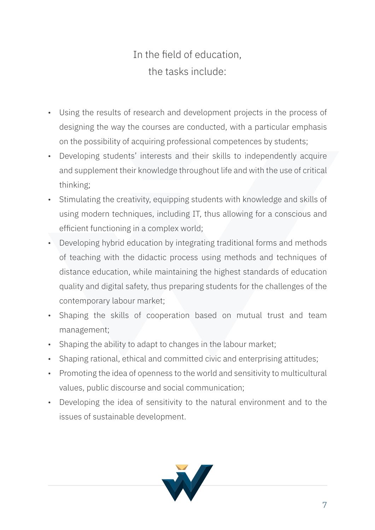#### In the field of education, the tasks include:

- Using the results of research and development projects in the process of designing the way the courses are conducted, with a particular emphasis on the possibility of acquiring professional competences by students;
- Developing students' interests and their skills to independently acquire and supplement their knowledge throughout life and with the use of critical thinking;
- Stimulating the creativity, equipping students with knowledge and skills of using modern techniques, including IT, thus allowing for a conscious and efficient functioning in a complex world;
- Developing hybrid education by integrating traditional forms and methods of teaching with the didactic process using methods and techniques of distance education, while maintaining the highest standards of education quality and digital safety, thus preparing students for the challenges of the contemporary labour market;
- Shaping the skills of cooperation based on mutual trust and team management;
- Shaping the ability to adapt to changes in the labour market;
- Shaping rational, ethical and committed civic and enterprising attitudes;
- Promoting the idea of openness to the world and sensitivity to multicultural values, public discourse and social communication;
- Developing the idea of sensitivity to the natural environment and to the issues of sustainable development.

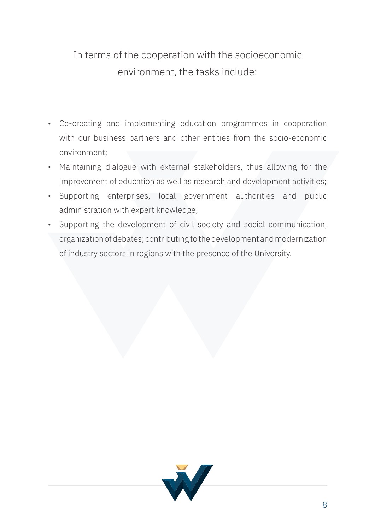#### In terms of the cooperation with the socioeconomic environment, the tasks include:

- Co-creating and implementing education programmes in cooperation with our business partners and other entities from the socio-economic environment;
- Maintaining dialogue with external stakeholders, thus allowing for the improvement of education as well as research and development activities;
- Supporting enterprises, local government authorities and public administration with expert knowledge;
- Supporting the development of civil society and social communication, organization of debates; contributing to the development and modernization of industry sectors in regions with the presence of the University.

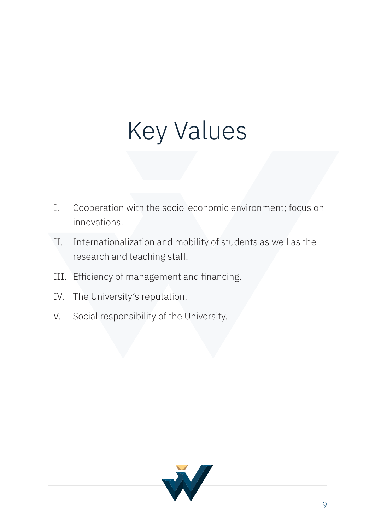# Key Values

- I. Cooperation with the socio-economic environment; focus on innovations.
- II. Internationalization and mobility of students as well as the research and teaching staff.
- III. Efficiency of management and financing.
- IV. The University's reputation.
- V. Social responsibility of the University.

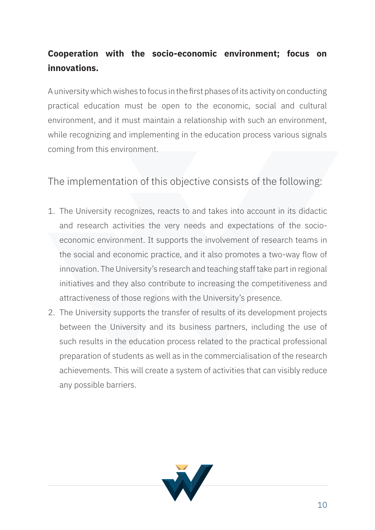#### **Cooperation with the socio-economic environment; focus on innovations.**

A university which wishes to focus in the first phases of its activity on conducting practical education must be open to the economic, social and cultural environment, and it must maintain a relationship with such an environment, while recognizing and implementing in the education process various signals coming from this environment.

The implementation of this objective consists of the following:

- 1. The University recognizes, reacts to and takes into account in its didactic and research activities the very needs and expectations of the socioeconomic environment. It supports the involvement of research teams in the social and economic practice, and it also promotes a two-way flow of innovation. The University's research and teaching staff take part in regional initiatives and they also contribute to increasing the competitiveness and attractiveness of those regions with the University's presence.
- 2. The University supports the transfer of results of its development projects between the University and its business partners, including the use of such results in the education process related to the practical professional preparation of students as well as in the commercialisation of the research achievements. This will create a system of activities that can visibly reduce any possible barriers.

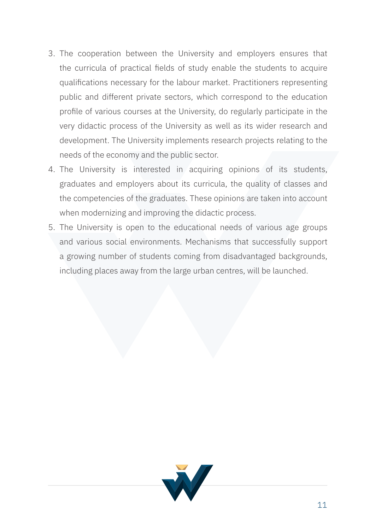- 3. The cooperation between the University and employers ensures that the curricula of practical fields of study enable the students to acquire qualifications necessary for the labour market. Practitioners representing public and different private sectors, which correspond to the education profile of various courses at the University, do regularly participate in the very didactic process of the University as well as its wider research and development. The University implements research projects relating to the needs of the economy and the public sector.
- 4. The University is interested in acquiring opinions of its students, graduates and employers about its curricula, the quality of classes and the competencies of the graduates. These opinions are taken into account when modernizing and improving the didactic process.
- 5. The University is open to the educational needs of various age groups and various social environments. Mechanisms that successfully support a growing number of students coming from disadvantaged backgrounds, including places away from the large urban centres, will be launched.

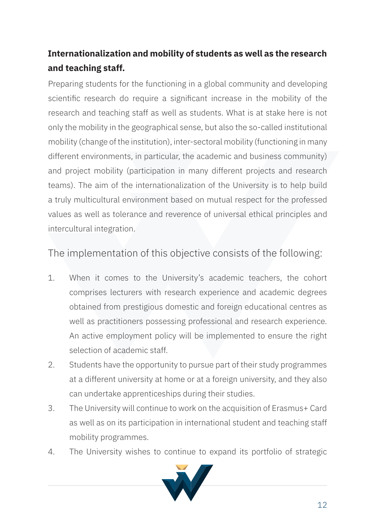#### **Internationalization and mobility of students as well as the research and teaching staff.**

Preparing students for the functioning in a global community and developing scientific research do require a significant increase in the mobility of the research and teaching staff as well as students. What is at stake here is not only the mobility in the geographical sense, but also the so-called institutional mobility (change of the institution), inter-sectoral mobility (functioning in many different environments, in particular, the academic and business community) and project mobility (participation in many different projects and research teams). The aim of the internationalization of the University is to help build a truly multicultural environment based on mutual respect for the professed values as well as tolerance and reverence of universal ethical principles and intercultural integration.

The implementation of this objective consists of the following:

- 1. When it comes to the University's academic teachers, the cohort comprises lecturers with research experience and academic degrees obtained from prestigious domestic and foreign educational centres as well as practitioners possessing professional and research experience. An active employment policy will be implemented to ensure the right selection of academic staff.
- 2. Students have the opportunity to pursue part of their study programmes at a different university at home or at a foreign university, and they also can undertake apprenticeships during their studies.
- 3. The University will continue to work on the acquisition of Erasmus+ Card as well as on its participation in international student and teaching staff mobility programmes.
- 4. The University wishes to continue to expand its portfolio of strategic

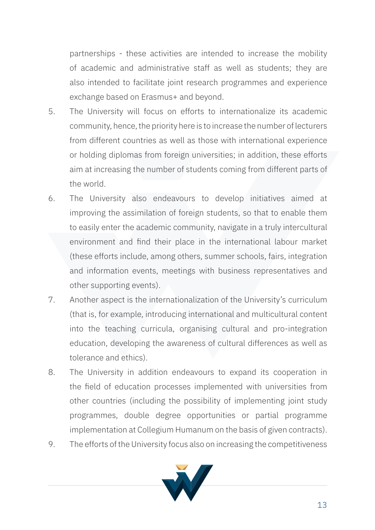partnerships - these activities are intended to increase the mobility of academic and administrative staff as well as students; they are also intended to facilitate joint research programmes and experience exchange based on Erasmus+ and beyond.

- 5. The University will focus on efforts to internationalize its academic community, hence, the priority here is to increase the number of lecturers from different countries as well as those with international experience or holding diplomas from foreign universities; in addition, these efforts aim at increasing the number of students coming from different parts of the world.
- 6. The University also endeavours to develop initiatives aimed at improving the assimilation of foreign students, so that to enable them to easily enter the academic community, navigate in a truly intercultural environment and find their place in the international labour market (these efforts include, among others, summer schools, fairs, integration and information events, meetings with business representatives and other supporting events).
- 7. Another aspect is the internationalization of the University's curriculum (that is, for example, introducing international and multicultural content into the teaching curricula, organising cultural and pro-integration education, developing the awareness of cultural differences as well as tolerance and ethics).
- 8. The University in addition endeavours to expand its cooperation in the field of education processes implemented with universities from other countries (including the possibility of implementing joint study programmes, double degree opportunities or partial programme implementation at Collegium Humanum on the basis of given contracts).
- 9. The efforts of the University focus also on increasing the competitiveness

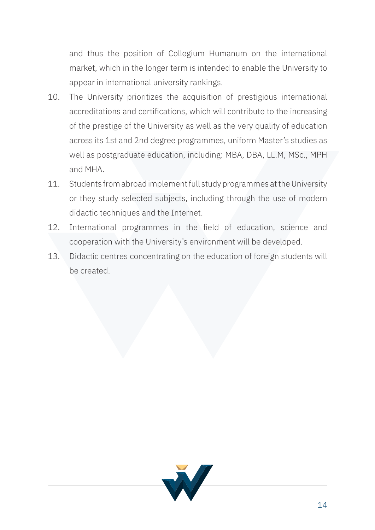and thus the position of Collegium Humanum on the international market, which in the longer term is intended to enable the University to appear in international university rankings.

- 10. The University prioritizes the acquisition of prestigious international accreditations and certifications, which will contribute to the increasing of the prestige of the University as well as the very quality of education across its 1st and 2nd degree programmes, uniform Master's studies as well as postgraduate education, including: MBA, DBA, LL.M, MSc., MPH and MHA.
- 11. Students from abroad implement full study programmes at the University or they study selected subjects, including through the use of modern didactic techniques and the Internet.
- 12. International programmes in the field of education, science and cooperation with the University's environment will be developed.
- 13. Didactic centres concentrating on the education of foreign students will be created.

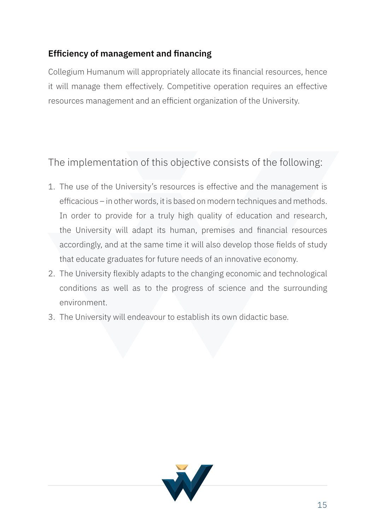#### **Efficiency of management and financing**

Collegium Humanum will appropriately allocate its financial resources, hence it will manage them effectively. Competitive operation requires an effective resources management and an efficient organization of the University.

#### The implementation of this objective consists of the following:

- 1. The use of the University's resources is effective and the management is efficacious – in other words, it is based on modern techniques and methods. In order to provide for a truly high quality of education and research, the University will adapt its human, premises and financial resources accordingly, and at the same time it will also develop those fields of study that educate graduates for future needs of an innovative economy.
- 2. The University flexibly adapts to the changing economic and technological conditions as well as to the progress of science and the surrounding environment.
- 3. The University will endeavour to establish its own didactic base.

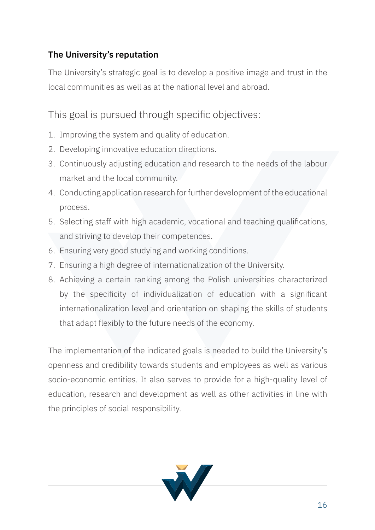#### **The University's reputation**

The University's strategic goal is to develop a positive image and trust in the local communities as well as at the national level and abroad.

This goal is pursued through specific objectives:

- 1. Improving the system and quality of education.
- 2. Developing innovative education directions.
- 3. Continuously adjusting education and research to the needs of the labour market and the local community.
- 4. Conducting application research for further development of the educational process.
- 5. Selecting staff with high academic, vocational and teaching qualifications, and striving to develop their competences.
- 6. Ensuring very good studying and working conditions.
- 7. Ensuring a high degree of internationalization of the University.
- 8. Achieving a certain ranking among the Polish universities characterized by the specificity of individualization of education with a significant internationalization level and orientation on shaping the skills of students that adapt flexibly to the future needs of the economy.

The implementation of the indicated goals is needed to build the University's openness and credibility towards students and employees as well as various socio-economic entities. It also serves to provide for a high-quality level of education, research and development as well as other activities in line with the principles of social responsibility.

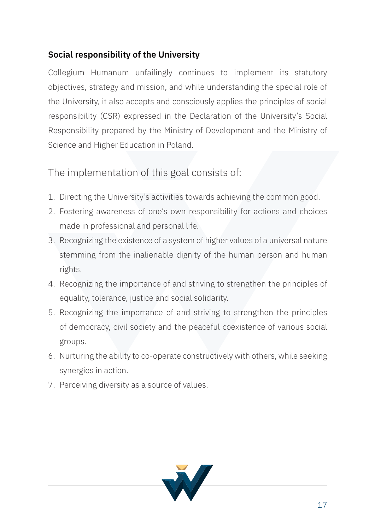#### **Social responsibility of the University**

Collegium Humanum unfailingly continues to implement its statutory objectives, strategy and mission, and while understanding the special role of the University, it also accepts and consciously applies the principles of social responsibility (CSR) expressed in the Declaration of the University's Social Responsibility prepared by the Ministry of Development and the Ministry of Science and Higher Education in Poland.

The implementation of this goal consists of:

- 1. Directing the University's activities towards achieving the common good.
- 2. Fostering awareness of one's own responsibility for actions and choices made in professional and personal life.
- 3. Recognizing the existence of a system of higher values of a universal nature stemming from the inalienable dignity of the human person and human rights.
- 4. Recognizing the importance of and striving to strengthen the principles of equality, tolerance, justice and social solidarity.
- 5. Recognizing the importance of and striving to strengthen the principles of democracy, civil society and the peaceful coexistence of various social groups.
- 6. Nurturing the ability to co-operate constructively with others, while seeking synergies in action.
- 7. Perceiving diversity as a source of values.

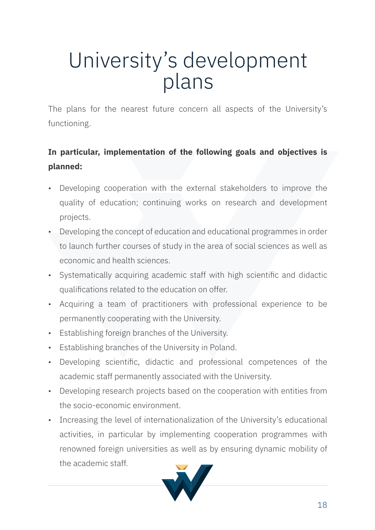# University's development plans

The plans for the nearest future concern all aspects of the University's functioning.

#### **In particular, implementation of the following goals and objectives is planned:**

- Developing cooperation with the external stakeholders to improve the quality of education; continuing works on research and development projects.
- Developing the concept of education and educational programmes in order to launch further courses of study in the area of social sciences as well as economic and health sciences.
- Systematically acquiring academic staff with high scientific and didactic qualifications related to the education on offer.
- Acquiring a team of practitioners with professional experience to be permanently cooperating with the University.
- Establishing foreign branches of the University.
- Establishing branches of the University in Poland.
- Developing scientific, didactic and professional competences of the academic staff permanently associated with the University.
- Developing research projects based on the cooperation with entities from the socio-economic environment.
- Increasing the level of internationalization of the University's educational activities, in particular by implementing cooperation programmes with renowned foreign universities as well as by ensuring dynamic mobility of the academic staff.